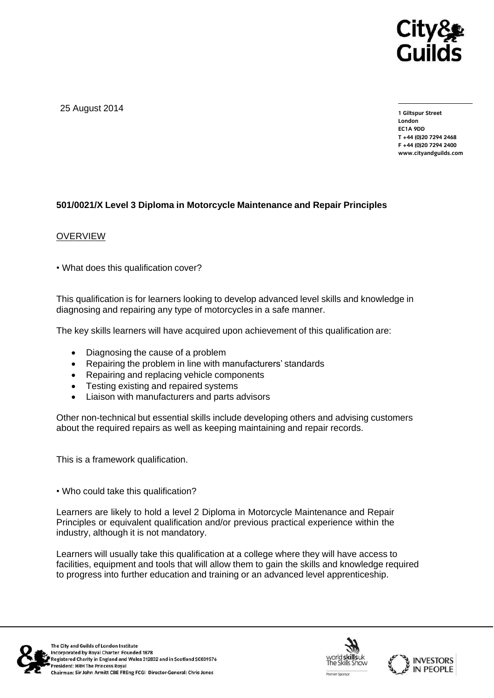

25 August 2014

**1 Giltspur Street EC1A 9DD** T +44 (0)20 7294 2468 **T +44 (0)20 7294 246[8](http://www.cityandguilds.com/) F +44** (1)<br>Example: altreadernikle ee **[www.cityandguilds.com](http://www.cityandguilds.com/)**

## **501/0021/X Level 3 Diploma in Motorcycle Maintenance and Repair Principles**

#### **OVERVIEW**

• What does this qualification cover?

This qualification is for learners looking to develop advanced level skills and knowledge in diagnosing and repairing any type of motorcycles in a safe manner.

The key skills learners will have acquired upon achievement of this qualification are:

- Diagnosing the cause of a problem
- Repairing the problem in line with manufacturers' standards
- Repairing and replacing vehicle components
- Testing existing and repaired systems
- Liaison with manufacturers and parts advisors

Other non-technical but essential skills include developing others and advising customers about the required repairs as well as keeping maintaining and repair records.

This is a framework qualification.

• Who could take this qualification?

Learners are likely to hold a level 2 Diploma in Motorcycle Maintenance and Repair Principles or equivalent qualification and/or previous practical experience within the industry, although it is not mandatory.

Learners will usually take this qualification at a college where they will have access to facilities, equipment and tools that will allow them to gain the skills and knowledge required to progress into further education and training or an advanced level apprenticeship.